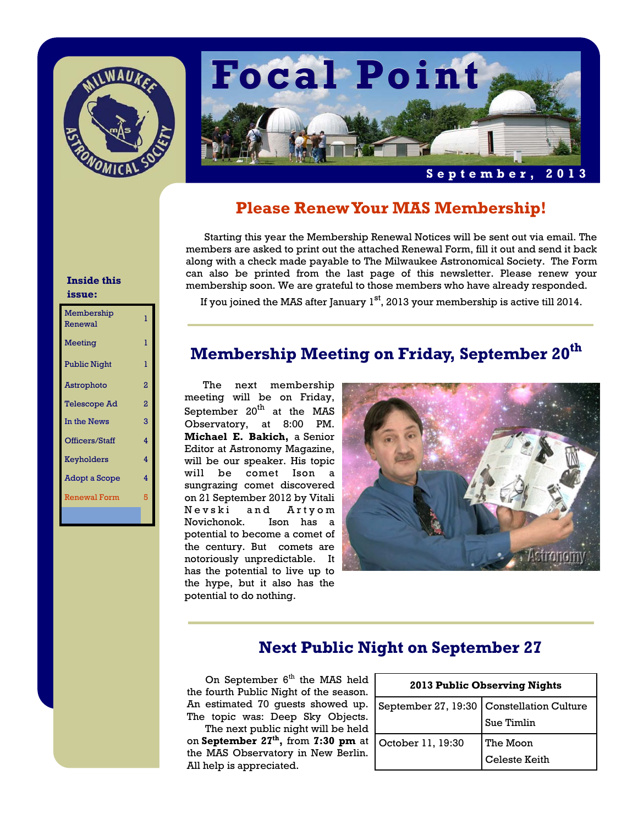



## **Please Renew Your MAS Membership!**

 Starting this year the Membership Renewal Notices will be sent out via email. The members are asked to print out the attached Renewal Form, fill it out and send it back along with a check made payable to The Milwaukee Astronomical Society. The Form can also be printed from the last page of this newsletter. Please renew your membership soon. We are grateful to those members who have already responded.

#### **Inside this issue:**

| Membership<br>Renewal | ı |
|-----------------------|---|
| Meeting               | 1 |
| <b>Public Night</b>   | ı |
| Astrophoto            | 2 |
| <b>Telescope Ad</b>   | 2 |
| In the News           | 3 |
| Officers/Staff        | 4 |
| Keyholders            | 4 |
| Adopt a Scope         | 4 |
| Renewal Form          | 5 |
|                       |   |

If you joined the MAS after January  $1<sup>st</sup>$ , 2013 your membership is active till 2014.

# **Membership Meeting on Friday, September 20th**

 The next membership meeting will be on Friday, September  $20<sup>th</sup>$  at the MAS Observatory, at 8:00 PM. **Michael E. Bakich,** a Senior Editor at Astronomy Magazine, will be our speaker. His topic will be comet Ison a sungrazing comet discovered on 21 September 2012 by Vitali Nevski and Artyom Novichonok. Ison has a potential to become a comet of the century. But comets are notoriously unpredictable. It has the potential to live up to the hype, but it also has the potential to do nothing.



# **Next Public Night on September 27**

On September  $6<sup>th</sup>$  the MAS held the fourth Public Night of the season. An estimated 70 guests showed up. The topic was: Deep Sky Objects.

 The next public night will be held on **September 27th,** from **7:30 pm** at the MAS Observatory in New Berlin. All help is appreciated.

| 2013 Public Observing Nights |                                           |  |
|------------------------------|-------------------------------------------|--|
|                              | September 27, 19:30 Constellation Culture |  |
|                              | Sue Timlin                                |  |
| October 11, 19:30            | The Moon                                  |  |
|                              | Celeste Keith                             |  |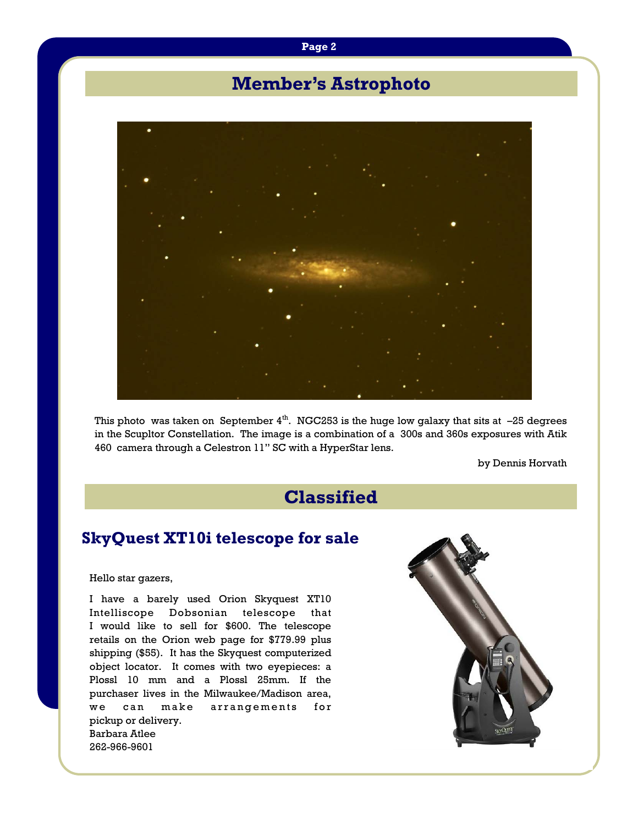#### **Page 2**

# **Member's Astrophoto**



This photo was taken on September  $4<sup>th</sup>$ . NGC253 is the huge low galaxy that sits at  $-25$  degrees in the Scupltor Constellation. The image is a combination of a 300s and 360s exposures with Atik 460 camera through a Celestron 11" SC with a HyperStar lens.

by Dennis Horvath

# **Classified**

## **SkyQuest XT10i telescope for sale**

#### Hello star gazers,

I have a barely used Orion Skyquest XT10 Intelliscope Dobsonian telescope that I would like to sell for \$600. The telescope retails on the Orion web page for \$779.99 plus shipping (\$55). It has the Skyquest computerized object locator. It comes with two eyepieces: a Plossl 10 mm and a Plossl 25mm. If the purchaser lives in the Milwaukee/Madison area, we can make arrangements for pickup or delivery. Barbara Atlee 262-966-9601

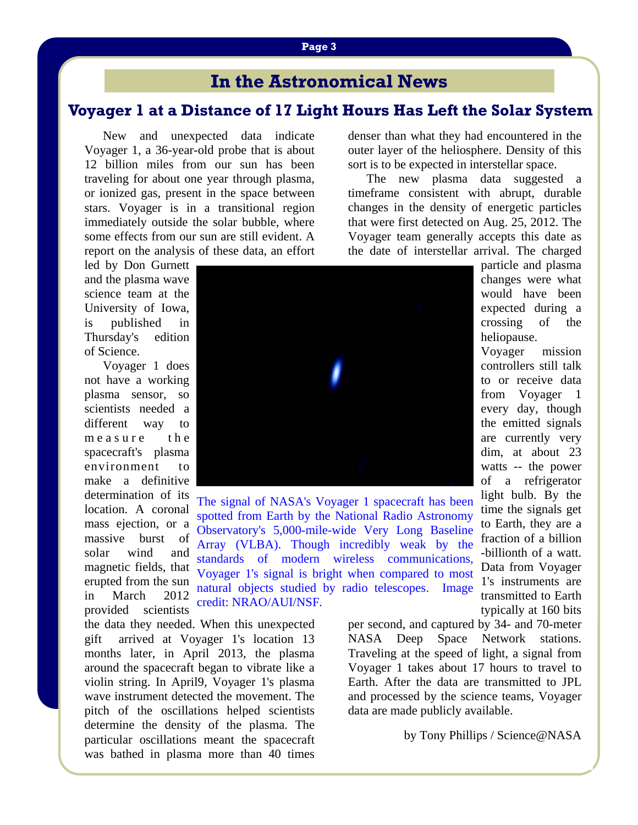## **Voyager 1 at a Distance of 17 Light Hours Has Left the Solar System**

 New and unexpected data indicate Voyager 1, a 36-year-old probe that is about 12 billion miles from our sun has been traveling for about one year through plasma, or ionized gas, present in the space between stars. Voyager is in a transitional region immediately outside the solar bubble, where some effects from our sun are still evident. A report on the analysis of these data, an effort

led by Don Gurnett and the plasma wave science team at the University of Iowa, is published in Thursday's edition of Science.

 Voyager 1 does not have a working plasma sensor, so scientists needed a different way to  $measured$   $a$  sure the spacecraft's plasma environment to make a definitive determination of its location. A coronal mass ejection, or a massive burst of solar wind and magnetic fields, that erupted from the sun in March 2012 provided scientists

The signal of NASA's Voyager 1 spacecraft has been spotted from Earth by the National Radio Astronomy Observatory's 5,000-mile-wide Very Long Baseline Array (VLBA). Though incredibly weak by the standards of modern wireless communications, Voyager 1's signal is bright when compared to most natural objects studied by radio telescopes. Image credit: NRAO/AUI/NSF*.*

the data they needed. When this unexpected gift arrived at Voyager 1's location 13 months later, in April 2013, the plasma around the spacecraft began to vibrate like a violin string. In April9, Voyager 1's plasma wave instrument detected the movement. The pitch of the oscillations helped scientists determine the density of the plasma. The particular oscillations meant the spacecraft was bathed in plasma more than 40 times

denser than what they had encountered in the outer layer of the heliosphere. Density of this sort is to be expected in interstellar space.

 The new plasma data suggested a timeframe consistent with abrupt, durable changes in the density of energetic particles that were first detected on Aug. 25, 2012. The Voyager team generally accepts this date as the date of interstellar arrival. The charged

> particle and plasma changes were what would have been expected during a crossing of the heliopause.

Voyager mission controllers still talk to or receive data from Voyager 1 every day, though the emitted signals are currently very dim, at about 23 watts -- the power of a refrigerator light bulb. By the time the signals get to Earth, they are a fraction of a billion -billionth of a watt. Data from Voyager 1's instruments are transmitted to Earth typically at 160 bits

per second, and captured by 34- and 70-meter NASA Deep Space Network stations. Traveling at the speed of light, a signal from Voyager 1 takes about 17 hours to travel to Earth. After the data are transmitted to JPL and processed by the science teams, Voyager data are made publicly available.

by Tony Phillips / Science@NASA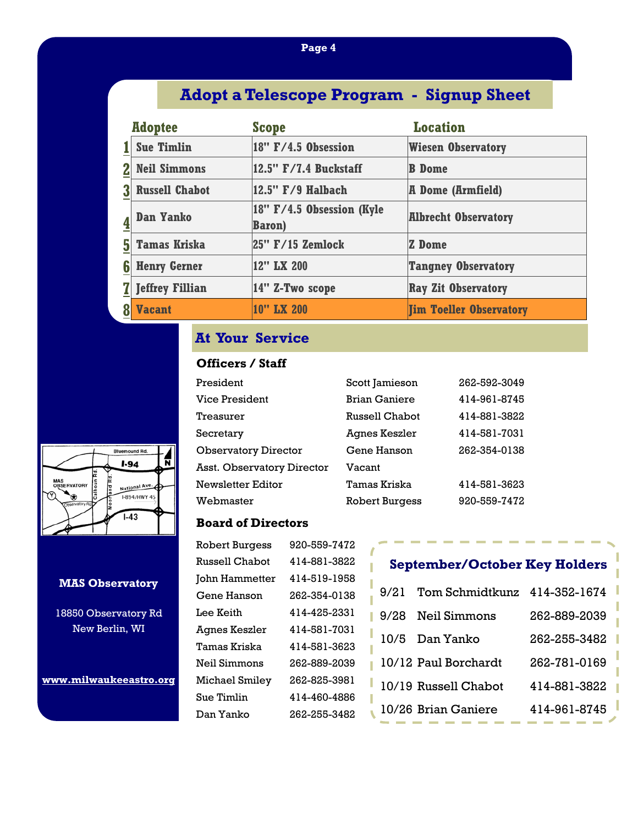### **Page 4**

# **Adopt a Telescope Program - Signup Sheet**

|   | <b>Adoptee</b>         | <b>Scope</b>                                   | <b>Location</b>                |
|---|------------------------|------------------------------------------------|--------------------------------|
|   | <b>Sue Timlin</b>      | $18''$ F/4.5 Obsession                         | <b>Wiesen Observatory</b>      |
|   | <b>Neil Simmons</b>    | 12.5" F/7.4 Buckstaff                          | <b>B</b> Dome                  |
|   | <b>Russell Chabot</b>  | $ 12.5"$ $F/9$ Halbach                         | <b>A Dome (Armfield)</b>       |
|   | <b>Dan Yanko</b>       | $ 18"$ F/4.5 Obsession (Kyle<br><b>Baron</b> ) | <b>Albrecht Observatory</b>    |
| 5 | <b>Tamas Kriska</b>    | $ 25"$ F/15 Zemlock                            | Z Dome                         |
| 6 | <b>Henry Gerner</b>    | 12" LX 200                                     | <b>Tangney Observatory</b>     |
|   | <b>Jeffrey Fillian</b> | 14" Z-Two scope                                | <b>Ray Zit Observatory</b>     |
|   | <b>Vacant</b>          | 10" LX 200                                     | <b>Jim Toeller Observatory</b> |

# **At Your Service**

### **Officers / Staff**

| President                   | Scott Jamieson        | 262-592-3049 |
|-----------------------------|-----------------------|--------------|
| Vice President              | <b>Brian Ganiere</b>  | 414-961-8745 |
| Treasurer                   | Russell Chabot        | 414-881-3822 |
| Secretary                   | Agnes Keszler         | 414-581-7031 |
| <b>Observatory Director</b> | Gene Hanson           | 262-354-0138 |
| Asst. Observatory Director  | Vacant                |              |
| Newsletter Editor           | Tamas Kriska          | 414-581-3623 |
| Webmaster                   | <b>Robert Burgess</b> | 920-559-7472 |

### **Board of Directors**

| <b>Robert Burgess</b> | 920-559-7472 |
|-----------------------|--------------|
| <b>Russell Chabot</b> | 414-881-3822 |
| John Hammetter        | 414-519-1958 |
| Gene Hanson           | 262-354-0138 |
| Lee Keith             | 414-425-2331 |
| Agnes Keszler         | 414-581-7031 |
| Tamas Kriska          | 414-581-3623 |
| Neil Simmons          | 262-889-2039 |
| Michael Smiley        | 262-825-3981 |
| Sue Timlin            | 414-460-4886 |
| Dan Yanko             | 262-255-3482 |
|                       |              |

# **September/October Key Holders**

| 9/21 | Tom Schmidtkunz 414-352-1674 |              |
|------|------------------------------|--------------|
| 9/28 | Neil Simmons                 | 262-889-2039 |
|      | 10/5 Dan Yanko               | 262-255-3482 |
|      | 10/12 Paul Borchardt         | 262-781-0169 |
|      | 10/19 Russell Chabot         | 414-881-3822 |
|      | 10/26 Brian Ganiere          | 414-961-8745 |



#### **MAS Observatory**

18850 Observatory Rd New Berlin, WI

**www.milwaukeeastro.org**